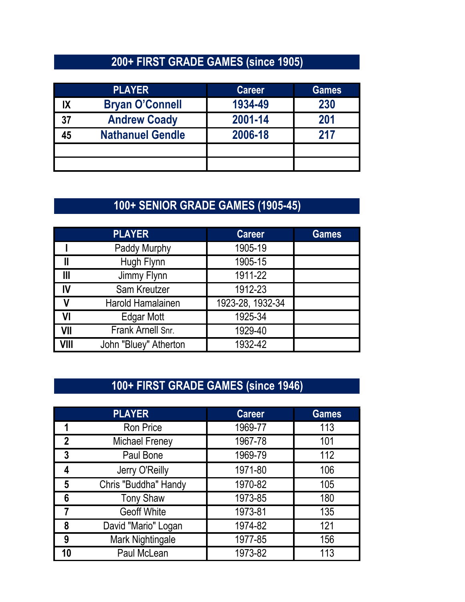### **200+ FIRST GRADE GAMES (since 1905)**

|    | <b>PLAYER</b>           | <b>Career</b> | <b>Games</b> |
|----|-------------------------|---------------|--------------|
|    | <b>Bryan O'Connell</b>  | 1934-49       | 230          |
| 37 | <b>Andrew Coady</b>     | 2001-14       | 201          |
|    | <b>Nathanuel Gendle</b> | 2006-18       | 217          |
|    |                         |               |              |
|    |                         |               |              |

### **100+ SENIOR GRADE GAMES (1905-45)**

|      | <b>PLAYER</b>         | <b>Career</b>    | <b>Games</b> |
|------|-----------------------|------------------|--------------|
|      | Paddy Murphy          | 1905-19          |              |
|      | Hugh Flynn            | 1905-15          |              |
| Ш    | Jimmy Flynn           | 1911-22          |              |
| IV   | Sam Kreutzer          | 1912-23          |              |
|      | Harold Hamalainen     | 1923-28, 1932-34 |              |
| VI   | Edgar Mott            | 1925-34          |              |
| VII  | Frank Arnell Snr.     | 1929-40          |              |
| VIII | John "Bluey" Atherton | 1932-42          |              |

### **100+ FIRST GRADE GAMES (since 1946)**

|                | <b>PLAYER</b>         | <b>Career</b> | <b>Games</b> |
|----------------|-----------------------|---------------|--------------|
|                | <b>Ron Price</b>      | 1969-77       | 113          |
| $\overline{2}$ | <b>Michael Freney</b> | 1967-78       | 101          |
| 3              | Paul Bone             | 1969-79       | 112          |
|                | Jerry O'Reilly        | 1971-80       | 106          |
| 5              | Chris "Buddha" Handy  | 1970-82       | 105          |
|                | <b>Tony Shaw</b>      | 1973-85       | 180          |
|                | <b>Geoff White</b>    | 1973-81       | 135          |
| 8              | David "Mario" Logan   | 1974-82       | 121          |
| 9              | Mark Nightingale      | 1977-85       | 156          |
|                | Paul McLean           | 1973-82       | 113          |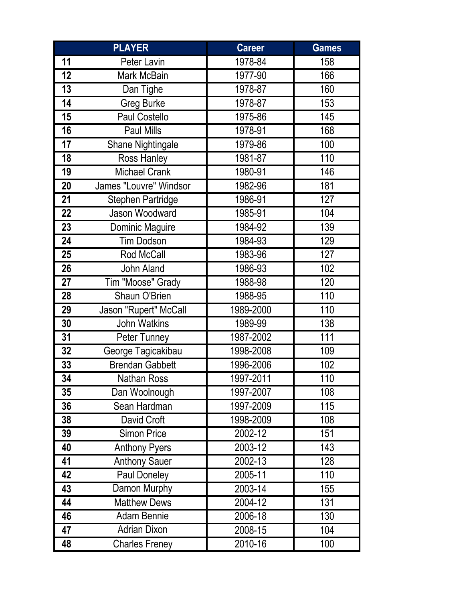|    | <b>PLAYER</b>            | <b>Career</b> | <b>Games</b> |
|----|--------------------------|---------------|--------------|
| 11 | Peter Lavin              | 1978-84       | 158          |
| 12 | Mark McBain              | 1977-90       | 166          |
| 13 | Dan Tighe                | 1978-87       | 160          |
| 14 | <b>Greg Burke</b>        | 1978-87       | 153          |
| 15 | <b>Paul Costello</b>     | 1975-86       | 145          |
| 16 | Paul Mills               | 1978-91       | 168          |
| 17 | Shane Nightingale        | 1979-86       | 100          |
| 18 | Ross Hanley              | 1981-87       | 110          |
| 19 | <b>Michael Crank</b>     | 1980-91       | 146          |
| 20 | James "Louvre" Windsor   | 1982-96       | 181          |
| 21 | <b>Stephen Partridge</b> | 1986-91       | 127          |
| 22 | Jason Woodward           | 1985-91       | 104          |
| 23 | Dominic Maguire          | 1984-92       | 139          |
| 24 | <b>Tim Dodson</b>        | 1984-93       | 129          |
| 25 | Rod McCall               | 1983-96       | 127          |
| 26 | John Aland               | 1986-93       | 102          |
| 27 | Tim "Moose" Grady        | 1988-98       | 120          |
| 28 | Shaun O'Brien            | 1988-95       | 110          |
| 29 | Jason "Rupert" McCall    | 1989-2000     | 110          |
| 30 | John Watkins             | 1989-99       | 138          |
| 31 | Peter Tunney             | 1987-2002     | 111          |
| 32 | George Tagicakibau       | 1998-2008     | 109          |
| 33 | <b>Brendan Gabbett</b>   | 1996-2006     | 102          |
| 34 | <b>Nathan Ross</b>       | 1997-2011     | 110          |
| 35 | Dan Woolnough            | 1997-2007     | 108          |
| 36 | Sean Hardman             | 1997-2009     | 115          |
| 38 | David Croft              | 1998-2009     | 108          |
| 39 | <b>Simon Price</b>       | 2002-12       | 151          |
| 40 | <b>Anthony Pyers</b>     | 2003-12       | 143          |
| 41 | <b>Anthony Sauer</b>     | 2002-13       | 128          |
| 42 | Paul Doneley             | 2005-11       | 110          |
| 43 | Damon Murphy             | 2003-14       | 155          |
| 44 | <b>Matthew Dews</b>      | 2004-12       | 131          |
| 46 | <b>Adam Bennie</b>       | 2006-18       | 130          |
| 47 | <b>Adrian Dixon</b>      | 2008-15       | 104          |
| 48 | <b>Charles Freney</b>    | 2010-16       | 100          |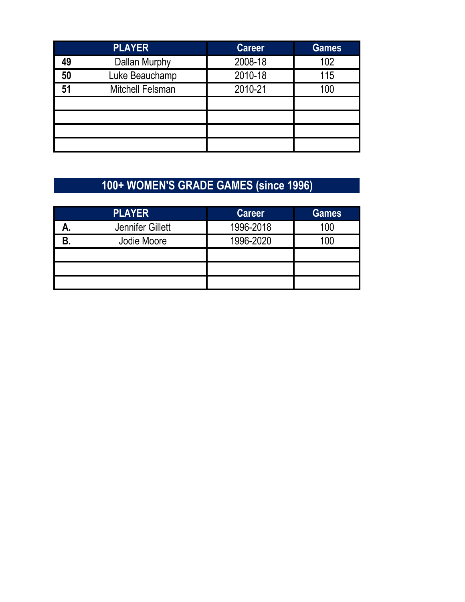|    | <b>PLAYER</b>           | <b>Career</b> | <b>Games</b> |
|----|-------------------------|---------------|--------------|
| 49 | Dallan Murphy           | 2008-18       | 102          |
| 50 | Luke Beauchamp          | 2010-18       | 115          |
| 51 | <b>Mitchell Felsman</b> | 2010-21       | 100          |
|    |                         |               |              |
|    |                         |               |              |
|    |                         |               |              |
|    |                         |               |              |
|    |                         |               |              |

## **100+ WOMEN'S GRADE GAMES (since 1996)**

| <b>PLAYER</b>           | <b>Career</b> | <b>Games</b> |
|-------------------------|---------------|--------------|
| <b>Jennifer Gillett</b> | 1996-2018     | 100          |
| Jodie Moore             | 1996-2020     | $($ $)($     |
|                         |               |              |
|                         |               |              |
|                         |               |              |